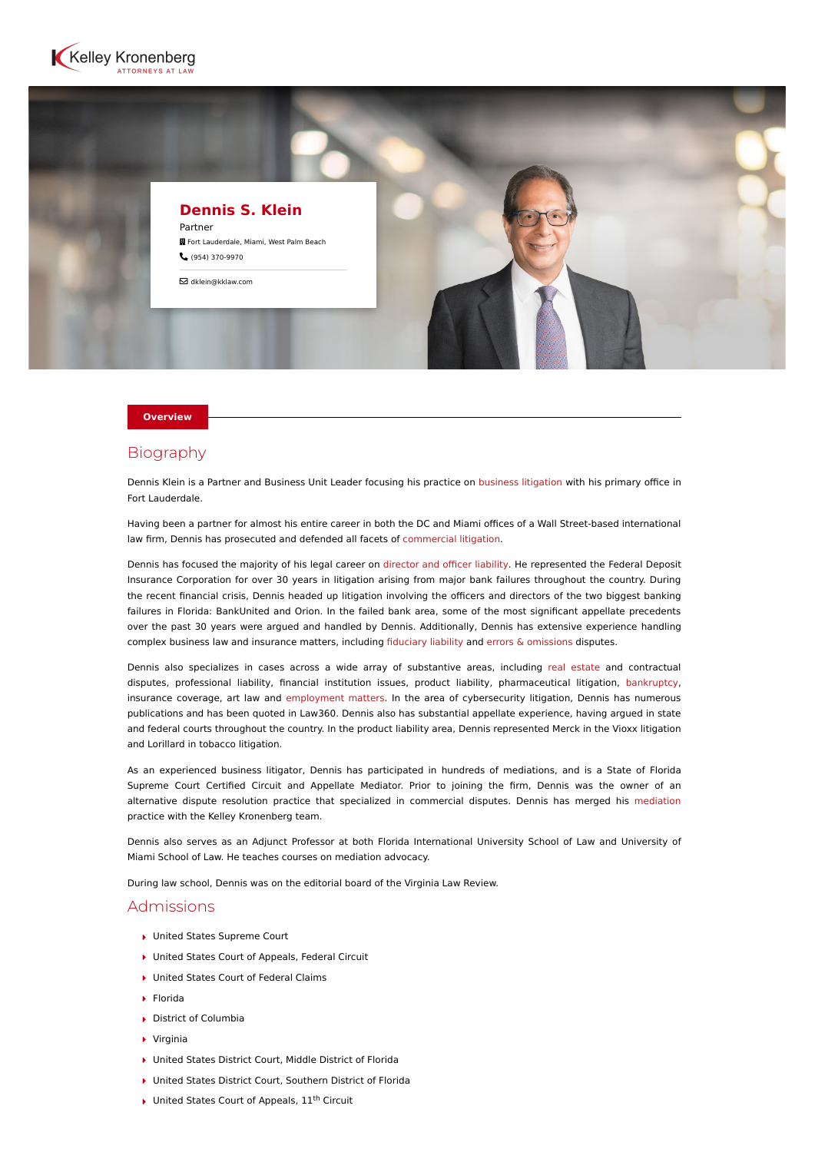



#### **Overview**

## Biography

Dennis Klein is a Partner and Business Unit Leader focusing his practice on [business litigation](https://www.kelleykronenberg.com/our-practices/business-law/general-business-litigation/) with his primary office in Fort Lauderdale.

Having been a partner for almost his entire career in both the DC and Miami offices of a Wall Street-based international law firm, Dennis has prosecuted and defended all facets of [commercial litigation](https://www.kelleykronenberg.com/our-practices/complex-commercial-litigation/).

Dennis has focused the majority of his legal career on [director and officer liability](https://www.kelleykronenberg.com/our-practices/business-law/directors-officers-liability/). He represented the Federal Deposit Insurance Corporation for over 30 years in litigation arising from major bank failures throughout the country. During the recent financial crisis, Dennis headed up litigation involving the officers and directors of the two biggest banking failures in Florida: BankUnited and Orion. In the failed bank area, some of the most significant appellate precedents over the past 30 years were argued and handled by Dennis. Additionally, Dennis has extensive experience handling complex business law and insurance matters, including [fiduciary liability](https://www.kelleykronenberg.com/our-practices/business-law/general-business-litigation/fiduciary-liability/) and [errors & omissions](https://www.kelleykronenberg.com/our-practices/business-law/general-business-litigation/errors-and-omissions/) disputes.

Dennis also specializes in cases across a wide array of substantive areas, including [real estate](https://www.kelleykronenberg.com/our-practices/real-estate/) and contractual disputes, professional liability, financial institution issues, product liability, pharmaceutical litigation, [bankruptcy,](https://www.kelleykronenberg.com/our-practices/bankruptcy-creditors-rights/) insurance coverage, art law and [employment matters.](https://www.kelleykronenberg.com/our-practices/labor-employment/) In the area of cybersecurity litigation, Dennis has numerous publications and has been quoted in Law360. Dennis also has substantial appellate experience, having argued in state and federal courts throughout the country. In the product liability area, Dennis represented Merck in the Vioxx litigation and Lorillard in tobacco litigation.

As an experienced business litigator, Dennis has participated in hundreds of mediations, and is a State of Florida Supreme Court Certified Circuit and Appellate Mediator. Prior to joining the firm, Dennis was the owner of an alternative dispute resolution practice that specialized in commercial disputes. Dennis has merged his [mediation](https://www.kelleykronenberg.com/our-practices/mediation/) practice with the Kelley Kronenberg team.

Dennis also serves as an Adjunct Professor at both Florida International University School of Law and University of Miami School of Law. He teaches courses on mediation advocacy.

During law school, Dennis was on the editorial board of the Virginia Law Review.

### Admissions

- ▶ United States Supreme Court
- ▶ United States Court of Appeals, Federal Circuit
- ▶ United States Court of Federal Claims
- $\blacktriangleright$  Florida
- District of Columbia
- Virginia
- ▶ United States District Court, Middle District of Florida
- United States District Court, Southern District of Florida
- $\blacktriangleright$  United States Court of Appeals,  $11^{\text{th}}$  Circuit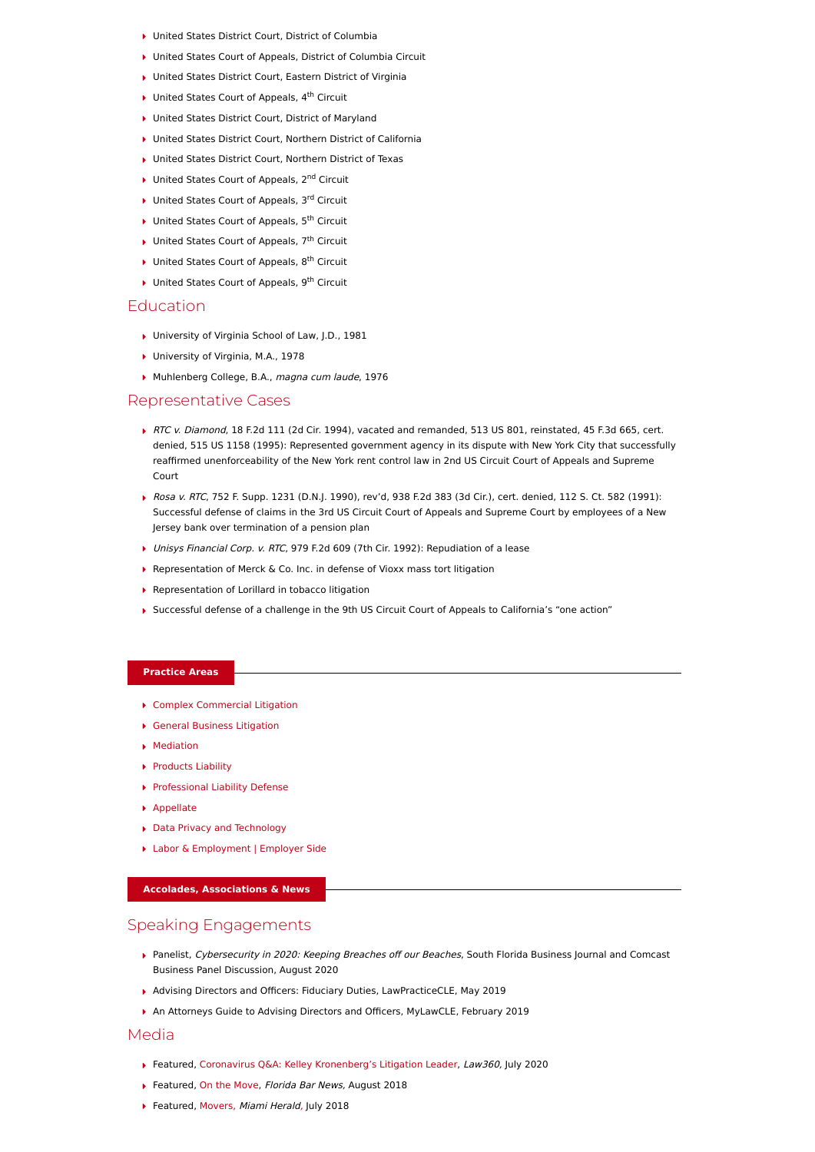- ▶ United States District Court, District of Columbia
- ▶ United States Court of Appeals, District of Columbia Circuit
- United States District Court, Eastern District of Virginia
- $\blacktriangleright$  United States Court of Appeals, 4<sup>th</sup> Circuit
- ▶ United States District Court, District of Maryland
- United States District Court, Northern District of California
- ▶ United States District Court, Northern District of Texas
- $\blacktriangleright$  United States Court of Appeals, 2<sup>nd</sup> Circuit
- $\blacktriangleright$  United States Court of Appeals, 3rd Circuit
- $\blacktriangleright$  United States Court of Appeals, 5<sup>th</sup> Circuit
- $\blacktriangleright$  United States Court of Appeals, 7<sup>th</sup> Circuit
- $\blacktriangleright$  United States Court of Appeals, 8<sup>th</sup> Circuit
- $\blacktriangleright$  United States Court of Appeals, 9<sup>th</sup> Circuit

### Education

- ▶ University of Virginia School of Law, J.D., 1981
- ▶ University of Virginia, M.A., 1978
- Muhlenberg College, B.A., magna cum laude, 1976

### Representative Cases

- RTC v. Diamond, 18 F.2d 111 (2d Cir. 1994), vacated and remanded, 513 US 801, reinstated, 45 F.3d 665, cert. denied, 515 US 1158 (1995): Represented government agency in its dispute with New York City that successfully reaffirmed unenforceability of the New York rent control law in 2nd US Circuit Court of Appeals and Supreme Court
- Rosa v. RTC, 752 F. Supp. 1231 (D.N.J. 1990), rev'd, 938 F.2d 383 (3d Cir.), cert. denied, 112 S. Ct. 582 (1991): Successful defense of claims in the 3rd US Circuit Court of Appeals and Supreme Court by employees of a New Jersey bank over termination of a pension plan
- ▶ Unisys Financial Corp. v. RTC, 979 F.2d 609 (7th Cir. 1992): Repudiation of a lease
- ▶ Representation of Merck & Co. Inc. in defense of Vioxx mass tort litigation
- ▶ Representation of Lorillard in tobacco litigation
- Successful defense of a challenge in the 9th US Circuit Court of Appeals to California's "one action"

## **Practice Areas**

- [Complex Commercial Litigation](https://www.kelleykronenberg.com/our-practices/complex-commercial-litigation/)
- [General Business Litigation](https://www.kelleykronenberg.com/our-practices/business-law/general-business-litigation/)
- **[Mediation](https://www.kelleykronenberg.com/our-practices/mediation/)**
- ▶ [Products Liability](https://www.kelleykronenberg.com/our-practices/products-liability/)
- [Professional Liability Defense](https://www.kelleykronenberg.com/our-practices/professional-liability-services/)
- [Appellate](https://www.kelleykronenberg.com/our-practices/appellate/)
- [Data Privacy and Technology](https://www.kelleykronenberg.com/our-practices/data-privacy-security/)
- ▶ [Labor & Employment | Employer Side](https://www.kelleykronenberg.com/our-practices/labor-employment/)

# **Accolades, Associations & News**

# Speaking Engagements

- Panelist, Cybersecurity in 2020: Keeping Breaches off our Beaches, South Florida Business Journal and Comcast Business Panel Discussion, August 2020
- Advising Directors and Officers: Fiduciary Duties, LawPracticeCLE, May 2019
- An Attorneys Guide to Advising Directors and Officers, MyLawCLE, February 2019

#### Media

- ▶ Featured, [Coronavirus Q&A: Kelley Kronenberg's Litigation Leader](https://www.law360.com/articles/1288377/coronavirus-q-a-kelley-kronenberg-s-litigation-leader), Law360, July 2020
- ▶ Featured, [On the Move,](https://www.floridabar.org/news/tfb-news/?durl=%2Fdivcom%2Fjn%2Fjnnews01.nsf%2F8c9f13012b96736985256aa900624829%2F2e673e8d1ee728ec852582d0004b9636) Florida Bar News, August 2018
- Featured, [Movers,](https://www.miamiherald.com/news/business/article214815060.html) Miami Heral[d,](https://www.miamiherald.com/news/business/article214815060.html) July 2018